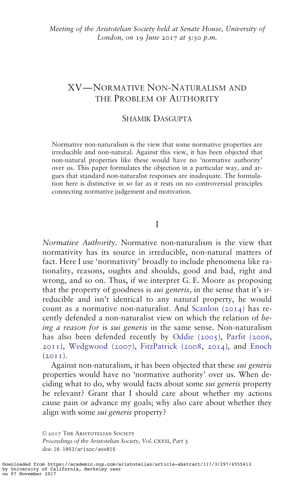# XV—NORMATIVE NON-NATURALISM AND THE PROBLEM OF AUTHORITY

## SHAMIK DASGUPTA

Normative non-naturalism is the view that some normative properties are irreducible and non-natural. Against this view, it has been objected that non-natural properties like these would have no 'normative authority' over us. This paper formulates the objection in a particular way, and argues that standard non-naturalist responses are inadequate. The formulation here is distinctive in so far as it rests on no controversial principles connecting normative judgement and motivation.

#### I

Normative Authority. Normative non-naturalism is the view that normativity has its source in irreducible, non-natural matters of fact. Here I use 'normativity' broadly to include phenomena like rationality, reasons, oughts and shoulds, good and bad, right and wrong, and so on. Thus, if we interpret G. E. Moore as proposing that the property of goodness is sui generis, in the sense that it's irreducible and isn't identical to any natural property, he would count as a normative non-naturalist. And [Scanlon \(](#page-22-0)2014) has recently defended a non-naturalist view on which the relation of being a reason for is sui generis in the same sense. Non-naturalism has also been defended recently by [Oddie \(](#page-22-0)2005), [Parfit \(](#page-22-0)2006, [2011](#page-22-0)), [Wedgwood \(](#page-22-0)2007), [FitzPatrick \(](#page-22-0)2008, [2014](#page-22-0)), and [Enoch](#page-21-0)  $(2011).$  $(2011).$  $(2011).$ 

Against non-naturalism, it has been objected that these sui generis properties would have no 'normative authority' over us. When deciding what to do, why would facts about some sui generis property be relevant? Grant that I should care about whether my actions cause pain or advance my goals; why also care about whether they align with some sui generis property?

 $© 2017$  The Aristotelian Society Proceedings of the Aristotelian Society, Vol. CXVII, Part 3 doi: 10.1093/arisoc/aox016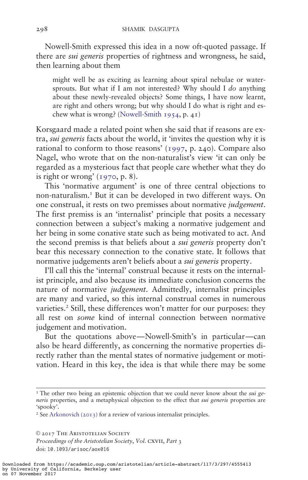Nowell-Smith expressed this idea in a now oft-quoted passage. If there are sui generis properties of rightness and wrongness, he said, then learning about them

might well be as exciting as learning about spiral nebulae or watersprouts. But what if I am not interested? Why should I do anything about these newly-revealed objects? Some things, I have now learnt, are right and others wrong; but why should I do what is right and eschew what is wrong? ([Nowell-Smith](#page-22-0) 1954, p. 41)

Korsgaard made a related point when she said that if reasons are extra, sui generis facts about the world, it 'invites the question why it is rational to conform to those reasons' ([1997](#page-22-0), p. 240). Compare also Nagel, who wrote that on the non-naturalist's view 'it can only be regarded as a mysterious fact that people care whether what they do is right or wrong'  $(1970, p. 8)$  $(1970, p. 8)$  $(1970, p. 8)$ .

This 'normative argument' is one of three central objections to non-naturalism.1 But it can be developed in two different ways. On one construal, it rests on two premisses about normative judgement. The first premiss is an 'internalist' principle that posits a necessary connection between a subject's making a normative judgement and her being in some conative state such as being motivated to act. And the second premiss is that beliefs about a sui generis property don't bear this necessary connection to the conative state. It follows that normative judgements aren't beliefs about a sui generis property.

I'll call this the 'internal' construal because it rests on the internalist principle, and also because its immediate conclusion concerns the nature of normative judgement. Admittedly, internalist principles are many and varied, so this internal construal comes in numerous varieties.<sup>2</sup> Still, these differences won't matter for our purposes: they all rest on some kind of internal connection between normative judgement and motivation.

But the quotations above—Nowell-Smith's in particular—can also be heard differently, as concerning the normative properties directly rather than the mental states of normative judgement or motivation. Heard in this key, the idea is that while there may be some

V<sup>C</sup> 2017 The Aristotelian Society Proceedings of the Aristotelian Society, Vol. CXVII, Part 3 doi: 10.1093/arisoc/aox016

<sup>&</sup>lt;sup>1</sup> The other two being an epistemic objection that we could never know about the *sui ge*neris properties, and a metaphysical objection to the effect that sui generis properties are 'spooky'.

<sup>2</sup> See [Arkonovich \(](#page-21-0)2013) for a review of various internalist principles.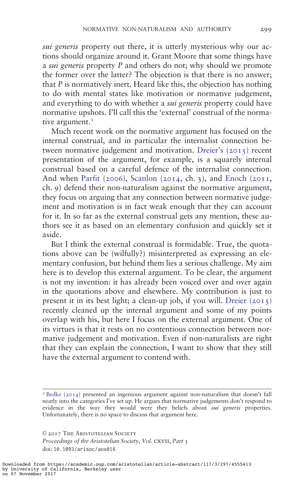sui generis property out there, it is utterly mysterious why our actions should organize around it. Grant Moore that some things have a *sui generis* property P and others do not; why should we promote the former over the latter? The objection is that there is no answer; that P is normatively inert. Heard like this, the objection has nothing to do with mental states like motivation or normative judgement, and everything to do with whether a *sui generis* property could have normative upshots. I'll call this the 'external' construal of the normative argument.<sup>3</sup>

Much recent work on the normative argument has focused on the internal construal, and in particular the internalist connection between normative judgement and motivation. [Dreier's \(](#page-21-0)2015) recent presentation of the argument, for example, is a squarely internal construal based on a careful defence of the internalist connection. And when [Parfit \(](#page-22-0)2006), [Scanlon \(](#page-22-0)2014, ch. 3), and [Enoch \(](#page-21-0)2011, ch. 9) defend their non-naturalism against the normative argument, they focus on arguing that any connection between normative judgement and motivation is in fact weak enough that they can account for it. In so far as the external construal gets any mention, these authors see it as based on an elementary confusion and quickly set it aside.

But I think the external construal is formidable. True, the quotations above can be (wilfully?) misinterpreted as expressing an elementary confusion, but behind them lies a serious challenge. My aim here is to develop this external argument. To be clear, the argument is not my invention: it has already been voiced over and over again in the quotations above and elsewhere. My contribution is just to present it in its best light; a clean-up job, if you will. Dreier  $(2015)$ recently cleaned up the internal argument and some of my points overlap with his, but here I focus on the external argument. One of its virtues is that it rests on no contentious connection between normative judgement and motivation. Even if non-naturalists are right that they can explain the connection, I want to show that they still have the external argument to contend with.

 $© 2017$  The Aristotelian Society Proceedings of the Aristotelian Society, Vol. CXVII, Part 3 doi: 10.1093/arisoc/aox016

<sup>3</sup> [Bedke \(](#page-21-0)2014) presented an ingenious argument against non-naturalism that doesn't fall neatly into the categories I've set up. He argues that normative judgements don't respond to evidence in the way they would were they beliefs about sui generis properties. Unfortunately, there is no space to discuss that argument here.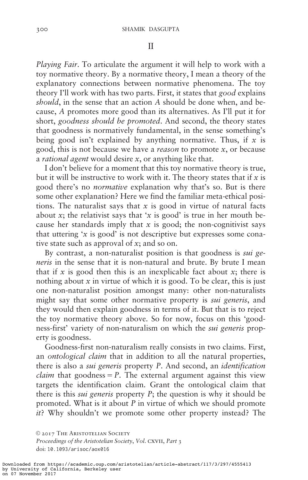Playing Fair. To articulate the argument it will help to work with a toy normative theory. By a normative theory, I mean a theory of the explanatory connections between normative phenomena. The toy theory I'll work with has two parts. First, it states that good explains should, in the sense that an action A should be done when, and because, A promotes more good than its alternatives. As I'll put it for short, goodness should be promoted. And second, the theory states that goodness is normatively fundamental, in the sense something's being good isn't explained by anything normative. Thus, if  $x$  is good, this is not because we have a *reason* to promote  $x$ , or because a *rational agent* would desire  $x$ , or anything like that.

I don't believe for a moment that this toy normative theory is true, but it will be instructive to work with it. The theory states that if  $x$  is good there's no normative explanation why that's so. But is there some other explanation? Here we find the familiar meta-ethical positions. The naturalist says that  $x$  is good in virtue of natural facts about x; the relativist says that 'x is good' is true in her mouth because her standards imply that  $x$  is good; the non-cognitivist says that uttering 'x is good' is not descriptive but expresses some conative state such as approval of  $x$ ; and so on.

By contrast, a non-naturalist position is that goodness is sui generis in the sense that it is non-natural and brute. By brute I mean that if x is good then this is an inexplicable fact about  $x$ ; there is nothing about  $x$  in virtue of which it is good. To be clear, this is just one non-naturalist position amongst many: other non-naturalists might say that some other normative property is sui generis, and they would then explain goodness in terms of it. But that is to reject the toy normative theory above. So for now, focus on this 'goodness-first' variety of non-naturalism on which the sui generis property is goodness.

Goodness-first non-naturalism really consists in two claims. First, an ontological claim that in addition to all the natural properties, there is also a sui generis property P. And second, an identification *claim* that goodness  $= P$ . The external argument against this view targets the identification claim. Grant the ontological claim that there is this *sui generis* property  $P$ ; the question is why it should be promoted. What is it about P in virtue of which we should promote it? Why shouldn't we promote some other property instead? The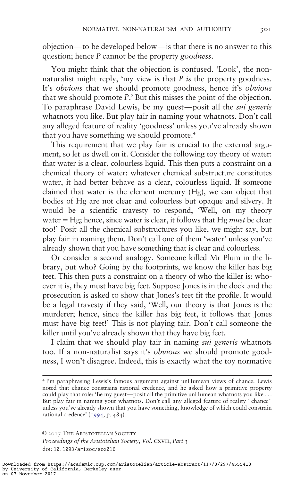objection—to be developed below—is that there is no answer to this question; hence *P* cannot be the property goodness.

You might think that the objection is confused. 'Look', the nonnaturalist might reply, 'my view is that  $P$  is the property goodness. It's *obvious* that we should promote goodness, hence it's *obvious* that we should promote P.' But this misses the point of the objection. To paraphrase David Lewis, be my guest—posit all the sui generis whatnots you like. But play fair in naming your whatnots. Don't call any alleged feature of reality 'goodness' unless you've already shown that you have something we should promote.<sup>4</sup>

This requirement that we play fair is crucial to the external argument, so let us dwell on it. Consider the following toy theory of water: that water is a clear, colourless liquid. This then puts a constraint on a chemical theory of water: whatever chemical substructure constitutes water, it had better behave as a clear, colourless liquid. If someone claimed that water is the element mercury (Hg), we can object that bodies of Hg are not clear and colourless but opaque and silvery. It would be a scientific travesty to respond, 'Well, on my theory water  $=$  Hg; hence, since water is clear, it follows that Hg *must* be clear too!' Posit all the chemical substructures you like, we might say, but play fair in naming them. Don't call one of them 'water' unless you've already shown that you have something that is clear and colourless.

Or consider a second analogy. Someone killed Mr Plum in the library, but who? Going by the footprints, we know the killer has big feet. This then puts a constraint on a theory of who the killer is: whoever it is, they must have big feet. Suppose Jones is in the dock and the prosecution is asked to show that Jones's feet fit the profile. It would be a legal travesty if they said, 'Well, our theory is that Jones is the murderer; hence, since the killer has big feet, it follows that Jones must have big feet!' This is not playing fair. Don't call someone the killer until you've already shown that they have big feet.

I claim that we should play fair in naming *sui generis* whatnots too. If a non-naturalist says it's obvious we should promote goodness, I won't disagree. Indeed, this is exactly what the toy normative

V<sup>C</sup> 2017 The Aristotelian Society Proceedings of the Aristotelian Society, Vol. CXVII, Part 3 doi: 10.1093/arisoc/aox016

<sup>4</sup> I'm paraphrasing Lewis's famous argument against unHumean views of chance. Lewis noted that chance constrains rational credence, and he asked how a primitive property could play that role: 'Be my guest—posit all the primitive unHumean whatnots you like ... But play fair in naming your whatnots. Don't call any alleged feature of reality "chance" unless you've already shown that you have something, knowledge of which could constrain rational credence' ([1994](#page-22-0), p. 484).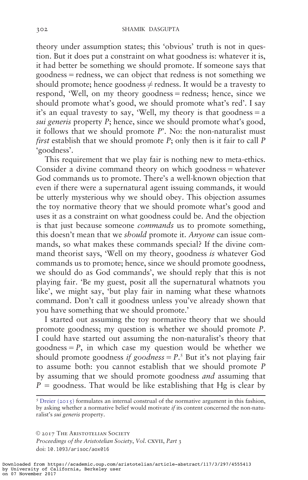theory under assumption states; this 'obvious' truth is not in question. But it does put a constraint on what goodness is: whatever it is, it had better be something we should promote. If someone says that goodness = redness, we can object that redness is not something we should promote; hence goodness  $\neq$  redness. It would be a travesty to respond, 'Well, on my theory goodness  $=$  redness; hence, since we should promote what's good, we should promote what's red'. I say it's an equal travesty to say, 'Well, my theory is that goodness  $=$  a sui generis property P; hence, since we should promote what's good, it follows that we should promote P'. No: the non-naturalist must first establish that we should promote  $P$ ; only then is it fair to call  $P$ 'goodness'.

This requirement that we play fair is nothing new to meta-ethics. Consider a divine command theory on which goodness  $=$  whatever God commands us to promote. There's a well-known objection that even if there were a supernatural agent issuing commands, it would be utterly mysterious why we should obey. This objection assumes the toy normative theory that we should promote what's good and uses it as a constraint on what goodness could be. And the objection is that just because someone *commands* us to promote something, this doesn't mean that we should promote it. Anyone can issue commands, so what makes these commands special? If the divine command theorist says, 'Well on my theory, goodness is whatever God commands us to promote; hence, since we should promote goodness, we should do as God commands', we should reply that this is not playing fair. 'Be my guest, posit all the supernatural whatnots you like', we might say, 'but play fair in naming what these whatnots command. Don't call it goodness unless you've already shown that you have something that we should promote.'

I started out assuming the toy normative theory that we should promote goodness; my question is whether we should promote P. I could have started out assuming the non-naturalist's theory that goodness =  $P$ , in which case my question would be whether we should promote goodness if goodness =  $P<sup>s</sup>$ . But it's not playing fair to assume both: you cannot establish that we should promote P by assuming that we should promote goodness and assuming that  $P =$  goodness. That would be like establishing that Hg is clear by

<sup>&</sup>lt;sup>5</sup> [Dreier \(](#page-21-0)2015) formulates an internal construal of the normative argument in this fashion, by asking whether a normative belief would motivate if its content concerned the non-naturalist's sui generis property.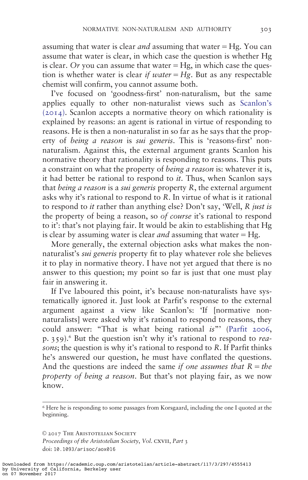assuming that water is clear *and* assuming that water  $=$  Hg. You can assume that water is clear, in which case the question is whether Hg is clear. Or you can assume that water  $=$  Hg, in which case the question is whether water is clear if water  $=$  Hg. But as any respectable chemist will confirm, you cannot assume both.

I've focused on 'goodness-first' non-naturalism, but the same applies equally to other non-naturalist views such as [Scanlon's](#page-22-0) ([2014](#page-22-0)). Scanlon accepts a normative theory on which rationality is explained by reasons: an agent is rational in virtue of responding to reasons. He is then a non-naturalist in so far as he says that the property of being a reason is sui generis. This is 'reasons-first' nonnaturalism. Against this, the external argument grants Scanlon his normative theory that rationality is responding to reasons. This puts a constraint on what the property of *being a reason* is: whatever it is, it had better be rational to respond to  $it$ . Thus, when Scanlon says that being a reason is a sui generis property  $R$ , the external argument asks why it's rational to respond to R. In virtue of what is it rational to respond to it rather than anything else? Don't say, 'Well, R just is the property of being a reason, so of course it's rational to respond to it': that's not playing fair. It would be akin to establishing that Hg is clear by assuming water is clear *and* assuming that water  $=$  Hg.

More generally, the external objection asks what makes the nonnaturalist's *sui generis* property fit to play whatever role she believes it to play in normative theory. I have not yet argued that there is no answer to this question; my point so far is just that one must play fair in answering it.

If I've laboured this point, it's because non-naturalists have systematically ignored it. Just look at Parfit's response to the external argument against a view like Scanlon's: 'If [normative nonnaturalists] were asked why it's rational to respond to reasons, they could answer: "That is what being rational is"' [\(Parfit](#page-22-0) 2006, p. 359).<sup>6</sup> But the question isn't why it's rational to respond to reasons; the question is why it's rational to respond to R. If Parfit thinks he's answered our question, he must have conflated the questions. And the questions are indeed the same *if one assumes that*  $R = the$ property of being a reason. But that's not playing fair, as we now know.

<sup>6</sup> Here he is responding to some passages from Korsgaard, including the one I quoted at the beginning.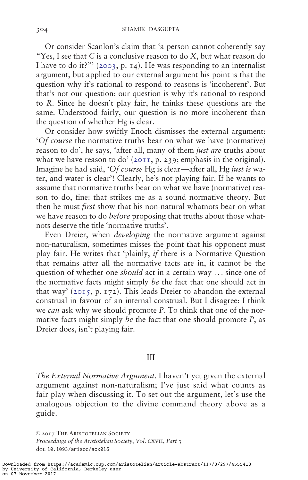Or consider Scanlon's claim that 'a person cannot coherently say "Yes, I see that C is a conclusive reason to do  $X$ , but what reason do I have to do it?"' ([2003](#page-22-0), p. 14). He was responding to an internalist argument, but applied to our external argument his point is that the question why it's rational to respond to reasons is 'incoherent'. But that's not our question: our question is why it's rational to respond to R. Since he doesn't play fair, he thinks these questions are the same. Understood fairly, our question is no more incoherent than the question of whether Hg is clear.

Or consider how swiftly Enoch dismisses the external argument: 'Of course the normative truths bear on what we have (normative) reason to do', he says, 'after all, many of them just are truths about what we have reason to do' ([2011](#page-21-0), p. 239; emphasis in the original). Imagine he had said, 'Of course Hg is clear—after all, Hg just is water, and water is clear'! Clearly, he's not playing fair. If he wants to assume that normative truths bear on what we have (normative) reason to do, fine: that strikes me as a sound normative theory. But then he must *first* show that his non-natural whatnots bear on what we have reason to do before proposing that truths about those whatnots deserve the title 'normative truths'.

Even Dreier, when *developing* the normative argument against non-naturalism, sometimes misses the point that his opponent must play fair. He writes that 'plainly, if there is a Normative Question that remains after all the normative facts are in, it cannot be the question of whether one should act in a certain way ... since one of the normative facts might simply be the fact that one should act in that way' ([2015](#page-21-0), p. 172). This leads Dreier to abandon the external construal in favour of an internal construal. But I disagree: I think we can ask why we should promote P. To think that one of the normative facts might simply be the fact that one should promote  $P$ , as Dreier does, isn't playing fair.

### III

The External Normative Argument. I haven't yet given the external argument against non-naturalism; I've just said what counts as fair play when discussing it. To set out the argument, let's use the analogous objection to the divine command theory above as a guide.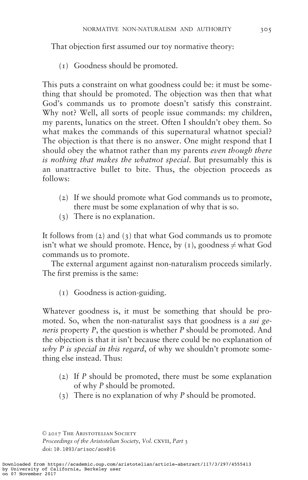That objection first assumed our toy normative theory:

(1) Goodness should be promoted.

This puts a constraint on what goodness could be: it must be something that should be promoted. The objection was then that what God's commands us to promote doesn't satisfy this constraint. Why not? Well, all sorts of people issue commands: my children, my parents, lunatics on the street. Often I shouldn't obey them. So what makes the commands of this supernatural whatnot special? The objection is that there is no answer. One might respond that I should obey the whatnot rather than my parents even though there is nothing that makes the whatnot special. But presumably this is an unattractive bullet to bite. Thus, the objection proceeds as follows:

- (2) If we should promote what God commands us to promote, there must be some explanation of why that is so.
- (3) There is no explanation.

It follows from (2) and (3) that what God commands us to promote isn't what we should promote. Hence, by (1), goodness  $\neq$  what God commands us to promote.

The external argument against non-naturalism proceeds similarly. The first premiss is the same:

(1) Goodness is action-guiding.

Whatever goodness is, it must be something that should be promoted. So, when the non-naturalist says that goodness is a *sui generis* property P, the question is whether P should be promoted. And the objection is that it isn't because there could be no explanation of why P is special in this regard, of why we shouldn't promote something else instead. Thus:

- (2) If P should be promoted, there must be some explanation of why P should be promoted.
- (3) There is no explanation of why P should be promoted.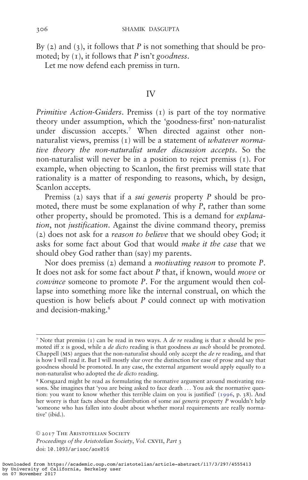By (2) and (3), it follows that P is not something that should be promoted; by  $(1)$ , it follows that P isn't goodness.

Let me now defend each premiss in turn.

#### IV

Primitive Action-Guiders. Premiss (1) is part of the toy normative theory under assumption, which the 'goodness-first' non-naturalist under discussion accepts.7 When directed against other nonnaturalist views, premiss  $(1)$  will be a statement of *whatever norma*tive theory the non-naturalist under discussion accepts. So the non-naturalist will never be in a position to reject premiss (1). For example, when objecting to Scanlon, the first premiss will state that rationality is a matter of responding to reasons, which, by design, Scanlon accepts.

Premiss (2) says that if a *sui generis* property P should be promoted, there must be some explanation of why P, rather than some other property, should be promoted. This is a demand for explanation, not justification. Against the divine command theory, premiss (2) does not ask for a reason to believe that we should obey God; it asks for some fact about God that would make it the case that we should obey God rather than (say) my parents.

Nor does premiss (2) demand a motivating reason to promote P. It does not ask for some fact about P that, if known, would move or convince someone to promote P. For the argument would then collapse into something more like the internal construal, on which the question is how beliefs about  $P$  could connect up with motivation and decision-making.<sup>8</sup>

<sup>&</sup>lt;sup>7</sup> Note that premiss (1) can be read in two ways. A *de re* reading is that x should be promoted iff  $x$  is good, while a *de dicto* reading is that goodness *as such* should be promoted. Chappell (ms) argues that the non-naturalist should only accept the de re reading, and that is how I will read it. But I will mostly slur over the distinction for ease of prose and say that goodness should be promoted. In any case, the external argument would apply equally to a non-naturalist who adopted the de dicto reading.

<sup>8</sup> Korsgaard might be read as formulating the normative argument around motivating reasons. She imagines that 'you are being asked to face death ... You ask the normative question: you want to know whether this terrible claim on you is justified' ([1996](#page-22-0), p. 38). And her worry is that facts about the distribution of some sui generis property P wouldn't help 'someone who has fallen into doubt about whether moral requirements are really normative' (ibid.).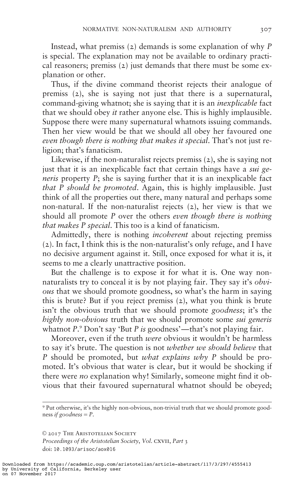Instead, what premiss (2) demands is some explanation of why P is special. The explanation may not be available to ordinary practical reasoners; premiss (2) just demands that there must be some explanation or other.

Thus, if the divine command theorist rejects their analogue of premiss (2), she is saying not just that there is a supernatural, command-giving whatnot; she is saying that it is an inexplicable fact that we should obey it rather anyone else. This is highly implausible. Suppose there were many supernatural whatnots issuing commands. Then her view would be that we should all obey her favoured one even though there is nothing that makes it special. That's not just religion; that's fanaticism.

Likewise, if the non-naturalist rejects premiss (2), she is saying not just that it is an inexplicable fact that certain things have a *sui generis* property  $P$ ; she is saying further that it is an inexplicable fact that P should be promoted. Again, this is highly implausible. Just think of all the properties out there, many natural and perhaps some non-natural. If the non-naturalist rejects (2), her view is that we should all promote  $P$  over the others *even though there is nothing* that makes P special. This too is a kind of fanaticism.

Admittedly, there is nothing *incoherent* about rejecting premiss (2). In fact, I think this is the non-naturalist's only refuge, and I have no decisive argument against it. Still, once exposed for what it is, it seems to me a clearly unattractive position.

But the challenge is to expose it for what it is. One way nonnaturalists try to conceal it is by not playing fair. They say it's obvious that we should promote goodness, so what's the harm in saying this is brute? But if you reject premiss (2), what you think is brute isn't the obvious truth that we should promote goodness; it's the highly non-obvious truth that we should promote some sui generis whatnot P.<sup>9</sup> Don't say 'But P is goodness'—that's not playing fair.

Moreover, even if the truth were obvious it wouldn't be harmless to say it's brute. The question is not *whether we should believe* that P should be promoted, but what explains why P should be promoted. It's obvious that water is clear, but it would be shocking if there were no explanation why! Similarly, someone might find it obvious that their favoured supernatural whatnot should be obeyed;

<sup>9</sup> Put otherwise, it's the highly non-obvious, non-trivial truth that we should promote goodness if goodness  $= P$ .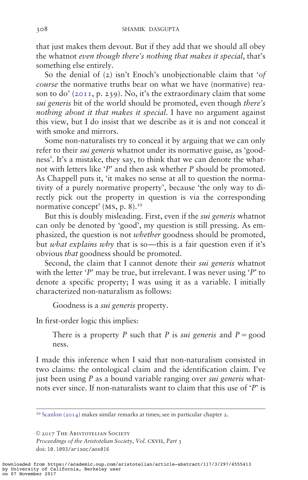that just makes them devout. But if they add that we should all obey the whatnot even though there's nothing that makes it special, that's something else entirely.

So the denial of (2) isn't Enoch's unobjectionable claim that 'of course the normative truths bear on what we have (normative) reason to do' ([2011](#page-21-0), p. 239). No, it's the extraordinary claim that some sui generis bit of the world should be promoted, even though there's nothing about it that makes it special. I have no argument against this view, but I do insist that we describe as it is and not conceal it with smoke and mirrors.

Some non-naturalists try to conceal it by arguing that we can only refer to their sui generis whatnot under its normative guise, as 'goodness'. It's a mistake, they say, to think that we can denote the whatnot with letters like 'P' and then ask whether P should be promoted. As Chappell puts it, 'it makes no sense at all to question the normativity of a purely normative property', because 'the only way to directly pick out the property in question is via the corresponding normative concept' (MS, p. 8).<sup>10</sup>

But this is doubly misleading. First, even if the sui generis whatnot can only be denoted by 'good', my question is still pressing. As emphasized, the question is not whether goodness should be promoted, but *what explains why* that is so—this is a fair question even if it's obvious that goodness should be promoted.

Second, the claim that I cannot denote their *sui generis* whatnot with the letter 'P' may be true, but irrelevant. I was never using 'P' to denote a specific property; I was using it as a variable. I initially characterized non-naturalism as follows:

Goodness is a sui generis property.

In first-order logic this implies:

There is a property P such that P is *sui generis* and  $P = \text{good}$ ness.

I made this inference when I said that non-naturalism consisted in two claims: the ontological claim and the identification claim. I've just been using  $P$  as a bound variable ranging over *sui generis* whatnots ever since. If non-naturalists want to claim that this use of 'P' is

<sup>10</sup> [Scanlon \(](#page-22-0)2014) makes similar remarks at times; see in particular chapter 2.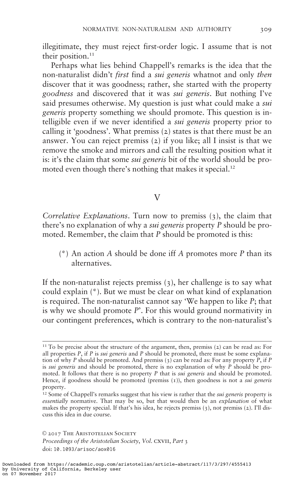illegitimate, they must reject first-order logic. I assume that is not their position.<sup>11</sup>

Perhaps what lies behind Chappell's remarks is the idea that the non-naturalist didn't first find a sui generis whatnot and only then discover that it was goodness; rather, she started with the property goodness and discovered that it was sui generis. But nothing I've said presumes otherwise. My question is just what could make a *sui* generis property something we should promote. This question is intelligible even if we never identified a *sui generis* property prior to calling it 'goodness'. What premiss (2) states is that there must be an answer. You can reject premiss (2) if you like; all I insist is that we remove the smoke and mirrors and call the resulting position what it is: it's the claim that some *sui generis* bit of the world should be promoted even though there's nothing that makes it special.<sup>12</sup>

## V

Correlative Explanations. Turn now to premiss (3), the claim that there's no explanation of why a *sui generis* property P should be promoted. Remember, the claim that P should be promoted is this:

 $(*)$  An action A should be done iff A promotes more P than its alternatives.

If the non-naturalist rejects premiss (3), her challenge is to say what could explain (\*). But we must be clear on what kind of explanation is required. The non-naturalist cannot say 'We happen to like  $P$ ; that is why we should promote P'. For this would ground normativity in our contingent preferences, which is contrary to the non-naturalist's

<sup>&</sup>lt;sup>11</sup> To be precise about the structure of the argument, then, premiss (2) can be read as: For all properties P, if P is *sui generis* and P should be promoted, there must be some explanation of why P should be promoted. And premiss (3) can be read as: For any property P, if P is *sui generis* and should be promoted, there is no explanation of why  $\hat{P}$  should be promoted. It follows that there is no property  $P$  that is *sui generis* and should be promoted. Hence, if goodness should be promoted (premiss  $(1)$ ), then goodness is not a *sui generis* property.

 $12$  Some of Chappell's remarks suggest that his view is rather that the *sui generis* property is essentially normative. That may be so, but that would then be an *explanation* of what makes the property special. If that's his idea, he rejects premiss  $(3)$ , not premiss  $(2)$ . I'll discuss this idea in due course.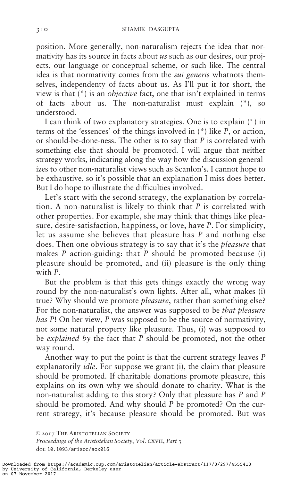position. More generally, non-naturalism rejects the idea that normativity has its source in facts about us such as our desires, our projects, our language or conceptual scheme, or such like. The central idea is that normativity comes from the *sui generis* whatnots themselves, independenty of facts about us. As I'll put it for short, the view is that (\*) is an objective fact, one that isn't explained in terms of facts about us. The non-naturalist must explain (\*), so understood.

I can think of two explanatory strategies. One is to explain (\*) in terms of the 'essences' of the things involved in (\*) like P, or action, or should-be-done-ness. The other is to say that  $P$  is correlated with something else that should be promoted. I will argue that neither strategy works, indicating along the way how the discussion generalizes to other non-naturalist views such as Scanlon's. I cannot hope to be exhaustive, so it's possible that an explanation I miss does better. But I do hope to illustrate the difficulties involved.

Let's start with the second strategy, the explanation by correlation. A non-naturalist is likely to think that P is correlated with other properties. For example, she may think that things like pleasure, desire-satisfaction, happiness, or love, have P. For simplicity, let us assume she believes that pleasure has P and nothing else does. Then one obvious strategy is to say that it's the pleasure that makes  $P$  action-guiding: that  $P$  should be promoted because (i) pleasure should be promoted, and (ii) pleasure is the only thing with P.

But the problem is that this gets things exactly the wrong way round by the non-naturalist's own lights. After all, what makes (i) true? Why should we promote *pleasure*, rather than something else? For the non-naturalist, the answer was supposed to be that pleasure has P! On her view, P was supposed to be the source of normativity, not some natural property like pleasure. Thus, (i) was supposed to be explained by the fact that P should be promoted, not the other way round.

Another way to put the point is that the current strategy leaves P explanatorily *idle*. For suppose we grant (i), the claim that pleasure should be promoted. If charitable donations promote pleasure, this explains on its own why we should donate to charity. What is the non-naturalist adding to this story? Only that pleasure has P and P should be promoted. And why should P be promoted? On the current strategy, it's because pleasure should be promoted. But was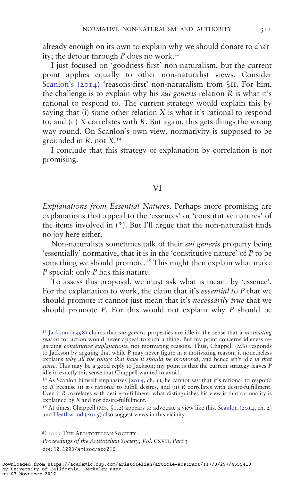already enough on its own to explain why we should donate to charity; the detour through  $P$  does no work.<sup>13</sup>

I just focused on 'goodness-first' non-naturalism, but the current point applies equally to other non-naturalist views. Consider [Scanlon's \(](#page-22-0)2014) 'reasons-first' non-naturalism from §II. For him, the challenge is to explain why his *sui generis* relation  $R$  is what it's rational to respond to. The current strategy would explain this by saying that (i) some other relation  $X$  is what it's rational to respond to, and (ii) X correlates with R. But again, this gets things the wrong way round. On Scanlon's own view, normativity is supposed to be grounded in  $R$ , not  $X$ .<sup>14</sup>

I conclude that this strategy of explanation by correlation is not promising.

## VI

Explanations from Essential Natures. Perhaps more promising are explanations that appeal to the 'essences' or 'constitutive natures' of the items involved in (\*). But I'll argue that the non-naturalist finds no joy here either.

Non-naturalists sometimes talk of their sui generis property being 'essentially' normative, that it is in the 'constitutive nature' of P to be something we should promote.<sup>15</sup> This might then explain what make P special: only P has this nature.

To assess this proposal, we must ask what is meant by 'essence'. For the explanation to work, the claim that it's *essential to P* that we should promote it cannot just mean that it's necessarily true that we should promote P. For this would not explain why P should be

 $13$  [Jackson \(](#page-22-0)1998) claims that sui generis properties are idle in the sense that a motivating reason for action would never appeal to such a thing. But my point concerns idleness regarding constitutive explanations, not motivating reasons. Thus, Chappell (MS) responds to Jackson by arguing that while  $P$  may never figure in a motivating reason, it nonetheless explains why all the things that have it should be promoted, and hence isn't idle in that sense. This may be a good reply to Jackson; my point is that the current strategy leaves  $P$ idle in exactly this sense that Chappell wanted to avoid.

<sup>14</sup> As Scanlon himself emphasizes ([2014](#page-22-0), ch. 1), he cannot say that it's rational to respond to R because (i) it's rational to fulfill desires, and (ii) R correlates with desire-fulfillment. Even if R correlates with desire-fulfillment, what distinguishes his view is that rationality is explained by R and not desire-fulfillment.

<sup>&</sup>lt;sup>15</sup> At times, Chappell (MS,  $\S$ 1.2) appears to advocate a view like this. [Scanlon \(](#page-22-0)2014, ch. 2) and [Heathwood \(](#page-22-0)2015) also suggest views in this vicinity.

<sup>© 2017</sup> THE ARISTOTELIAN SOCIETY

Proceedings of the Aristotelian Society, Vol. CXVII, Part 3 doi: 10.1093/arisoc/aox016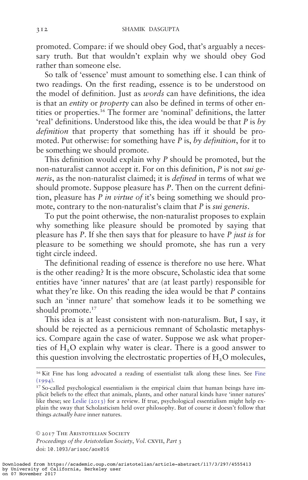promoted. Compare: if we should obey God, that's arguably a necessary truth. But that wouldn't explain why we should obey God rather than someone else.

So talk of 'essence' must amount to something else. I can think of two readings. On the first reading, essence is to be understood on the model of definition. Just as *words* can have definitions, the idea is that an *entity* or *property* can also be defined in terms of other entities or properties.16 The former are 'nominal' definitions, the latter 'real' definitions. Understood like this, the idea would be that  $P$  is  $by$ definition that property that something has iff it should be promoted. Put otherwise: for something have  $P$  is, by definition, for it to be something we should promote.

This definition would explain why P should be promoted, but the non-naturalist cannot accept it. For on this definition, P is not sui generis, as the non-naturalist claimed; it is defined in terms of what we should promote. Suppose pleasure has P. Then on the current definition, pleasure has P in virtue of it's being something we should promote, contrary to the non-naturalist's claim that  $P$  is *sui generis*.

To put the point otherwise, the non-naturalist proposes to explain why something like pleasure should be promoted by saying that pleasure has P. If she then says that for pleasure to have P just is for pleasure to be something we should promote, she has run a very tight circle indeed.

The definitional reading of essence is therefore no use here. What is the other reading? It is the more obscure, Scholastic idea that some entities have 'inner natures' that are (at least partly) responsible for what they're like. On this reading the idea would be that P contains such an 'inner nature' that somehow leads it to be something we should promote.<sup>17</sup>

This idea is at least consistent with non-naturalism. But, I say, it should be rejected as a pernicious remnant of Scholastic metaphysics. Compare again the case of water. Suppose we ask what properties of H<sub>2</sub>O explain why water is clear. There is a good answer to this question involving the electrostatic properties of H<sub>2</sub>O molecules,

<sup>16</sup> Kit Fine has long advocated a reading of essentialist talk along these lines. See [Fine](#page-21-0)  $(1994)$  $(1994)$  $(1994)$ .

<sup>17</sup> So-called psychological essentialism is the empirical claim that human beings have implicit beliefs to the effect that animals, plants, and other natural kinds have 'inner natures' like these; see [Leslie \(](#page-22-0) $2013$ ) for a review. If true, psychological essentialism might help explain the sway that Scholasticism held over philosophy. But of course it doesn't follow that things *actually have* inner natures.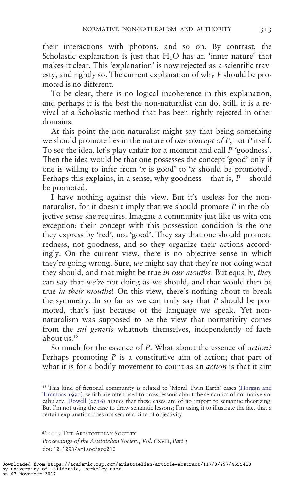their interactions with photons, and so on. By contrast, the Scholastic explanation is just that  $H<sub>2</sub>O$  has an 'inner nature' that makes it clear. This 'explanation' is now rejected as a scientific travesty, and rightly so. The current explanation of why P should be promoted is no different.

To be clear, there is no logical incoherence in this explanation, and perhaps it is the best the non-naturalist can do. Still, it is a revival of a Scholastic method that has been rightly rejected in other domains.

At this point the non-naturalist might say that being something we should promote lies in the nature of *our concept of P*, not *P* itself. To see the idea, let's play unfair for a moment and call P 'goodness'. Then the idea would be that one possesses the concept 'good' only if one is willing to infer from 'x is good' to 'x should be promoted'. Perhaps this explains, in a sense, why goodness—that is, P—should be promoted.

I have nothing against this view. But it's useless for the nonnaturalist, for it doesn't imply that we should promote  $P$  in the objective sense she requires. Imagine a community just like us with one exception: their concept with this possession condition is the one they express by 'red', not 'good'. They say that one should promote redness, not goodness, and so they organize their actions accordingly. On the current view, there is no objective sense in which they're going wrong. Sure, we might say that they're not doing what they should, and that might be true in our mouths. But equally, they can say that  $we're$  not doing as we should, and that would then be true *in their mouths*! On this view, there's nothing about to break the symmetry. In so far as we can truly say that  $P$  should be promoted, that's just because of the language we speak. Yet nonnaturalism was supposed to be the view that normativity comes from the *sui generis* whatnots themselves, independently of facts about us.18

So much for the essence of P. What about the essence of *action*? Perhaps promoting  $P$  is a constitutive aim of action; that part of what it is for a bodily movement to count as an *action* is that it aim

<sup>18</sup> This kind of fictional community is related to 'Moral Twin Earth' cases [\(Horgan and](#page-22-0) [Timmons](#page-22-0) 1991), which are often used to draw lessons about the semantics of normative vocabulary. [Dowell \(](#page-21-0)2016) argues that these cases are of no import to semantic theorizing. But I'm not using the case to draw semantic lessons; I'm using it to illustrate the fact that a certain explanation does not secure a kind of objectivity.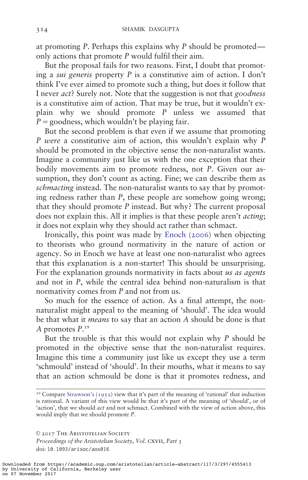at promoting P. Perhaps this explains why P should be promoted only actions that promote P would fulfil their aim.

But the proposal fails for two reasons. First, I doubt that promoting a *sui generis* property  $P$  is a constitutive aim of action. I don't think I've ever aimed to promote such a thing, but does it follow that I never act? Surely not. Note that the suggestion is not that goodness is a constitutive aim of action. That may be true, but it wouldn't explain why we should promote P unless we assumed that  $P =$  goodness, which wouldn't be playing fair.

But the second problem is that even if we assume that promoting P were a constitutive aim of action, this wouldn't explain why P should be promoted in the objective sense the non-naturalist wants. Imagine a community just like us with the one exception that their bodily movements aim to promote redness, not P. Given our assumption, they don't count as acting. Fine; we can describe them as schmacting instead. The non-naturalist wants to say that by promoting redness rather than P, these people are somehow going wrong; that they should promote  $P$  instead. But why? The current proposal does not explain this. All it implies is that these people aren't acting; it does not explain why they should act rather than schmact.

Ironically, this point was made by [Enoch \(](#page-21-0)2006) when objecting to theorists who ground normativity in the nature of action or agency. So in Enoch we have at least one non-naturalist who agrees that this explanation is a non-starter! This should be unsurprising. For the explanation grounds normativity in facts about *us as agents* and not in P, while the central idea behind non-naturalism is that normativity comes from P and not from us.

So much for the essence of action. As a final attempt, the nonnaturalist might appeal to the meaning of 'should'. The idea would be that what it means to say that an action A should be done is that A promotes  $P.^{19}$ 

But the trouble is that this would not explain why  $P$  should be promoted in the objective sense that the non-naturalist requires. Imagine this time a community just like us except they use a term 'schmould' instead of 'should'. In their mouths, what it means to say that an action schmould be done is that it promotes redness, and

<sup>19</sup> Compare [Strawson's \(](#page-22-0)1952) view that it's part of the meaning of 'rational' that induction is rational. A variant of this view would be that it's part of the meaning of 'should', or of 'action', that we should act and not schmact. Combined with the view of action above, this would imply that we should promote P.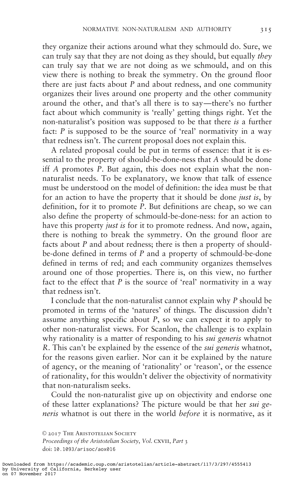they organize their actions around what they schmould do. Sure, we can truly say that they are not doing as they should, but equally they can truly say that we are not doing as we schmould, and on this view there is nothing to break the symmetry. On the ground floor there are just facts about  $P$  and about redness, and one community organizes their lives around one property and the other community around the other, and that's all there is to say—there's no further fact about which community is 'really' getting things right. Yet the non-naturalist's position was supposed to be that there is a further fact:  $P$  is supposed to be the source of 'real' normativity in a way that redness isn't. The current proposal does not explain this.

A related proposal could be put in terms of essence: that it is essential to the property of should-be-done-ness that A should be done iff A promotes P. But again, this does not explain what the nonnaturalist needs. To be explanatory, we know that talk of essence must be understood on the model of definition: the idea must be that for an action to have the property that it should be done *just is*, by definition, for it to promote P. But definitions are cheap, so we can also define the property of schmould-be-done-ness: for an action to have this property *just is* for it to promote redness. And now, again, there is nothing to break the symmetry. On the ground floor are facts about P and about redness; there is then a property of shouldbe-done defined in terms of P and a property of schmould-be-done defined in terms of red; and each community organizes themselves around one of those properties. There is, on this view, no further fact to the effect that  $P$  is the source of 'real' normativity in a way that redness isn't.

I conclude that the non-naturalist cannot explain why P should be promoted in terms of the 'natures' of things. The discussion didn't assume anything specific about  $P$ , so we can expect it to apply to other non-naturalist views. For Scanlon, the challenge is to explain why rationality is a matter of responding to his *sui generis* whatnot R. This can't be explained by the essence of the sui generis whatnot, for the reasons given earlier. Nor can it be explained by the nature of agency, or the meaning of 'rationality' or 'reason', or the essence of rationality, for this wouldn't deliver the objectivity of normativity that non-naturalism seeks.

Could the non-naturalist give up on objectivity and endorse one of these latter explanations? The picture would be that her sui generis whatnot is out there in the world before it is normative, as it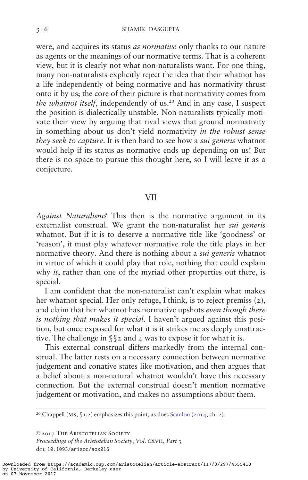were, and acquires its status *as normative* only thanks to our nature as agents or the meanings of our normative terms. That is a coherent view, but it is clearly not what non-naturalists want. For one thing, many non-naturalists explicitly reject the idea that their whatnot has a life independently of being normative and has normativity thrust onto it by us; the core of their picture is that normativity comes from the whatnot itself, independently of us.<sup>20</sup> And in any case, I suspect the position is dialectically unstable. Non-naturalists typically motivate their view by arguing that rival views that ground normativity in something about us don't yield normativity in the robust sense they seek to capture. It is then hard to see how a *sui generis* whatnot would help if its status as normative ends up depending on us! But there is no space to pursue this thought here, so I will leave it as a conjecture.

## VII

Against Naturalism? This then is the normative argument in its externalist construal. We grant the non-naturalist her sui generis whatnot. But if it is to deserve a normative title like 'goodness' or 'reason', it must play whatever normative role the title plays in her normative theory. And there is nothing about a *sui generis* whatnot in virtue of which it could play that role, nothing that could explain why *it*, rather than one of the myriad other properties out there, is special.

I am confident that the non-naturalist can't explain what makes her whatnot special. Her only refuge, I think, is to reject premiss (2), and claim that her whatnot has normative upshots even though there is nothing that makes it special. I haven't argued against this position, but once exposed for what it is it strikes me as deeply unattractive. The challenge in §§2 and 4 was to expose it for what it is.

This external construal differs markedly from the internal construal. The latter rests on a necessary connection between normative judgement and conative states like motivation, and then argues that a belief about a non-natural whatnot wouldn't have this necessary connection. But the external construal doesn't mention normative judgement or motivation, and makes no assumptions about them.

<sup>&</sup>lt;sup>20</sup> Chappell (MS,  $\sqrt{x}$ , 2) emphasizes this point, as does [Scanlon \(](#page-22-0)2014, ch. 2).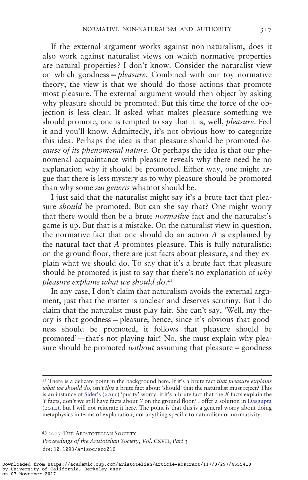If the external argument works against non-naturalism, does it also work against naturalist views on which normative properties are natural properties? I don't know. Consider the naturalist view on which goodness = *pleasure*. Combined with our toy normative theory, the view is that we should do those actions that promote most pleasure. The external argument would then object by asking why pleasure should be promoted. But this time the force of the objection is less clear. If asked what makes pleasure something we should promote, one is tempted to say that it is, well, *pleasure*. Feel it and you'll know. Admittedly, it's not obvious how to categorize this idea. Perhaps the idea is that pleasure should be promoted because of its phenomenal nature. Or perhaps the idea is that our phenomenal acquaintance with pleasure reveals why there need be no explanation why it should be promoted. Either way, one might argue that there is less mystery as to why pleasure should be promoted than why some *sui generis* whatnot should be.

I just said that the naturalist might say it's a brute fact that pleasure should be promoted. But can she say that? One might worry that there would then be a brute *normative* fact and the naturalist's game is up. But that is a mistake. On the naturalist view in question, the normative fact that one should do an action A is explained by the natural fact that A promotes pleasure. This is fully naturalistic: on the ground floor, there are just facts about pleasure, and they explain what we should do. To say that it's a brute fact that pleasure should be promoted is just to say that there's no explanation of  $why$ pleasure explains what we should do. 21

In any case, I don't claim that naturalism avoids the external argument, just that the matter is unclear and deserves scrutiny. But I do claim that the naturalist must play fair. She can't say, 'Well, my theory is that goodness  $=$  pleasure; hence, since it's obvious that goodness should be promoted, it follows that pleasure should be promoted'—that's not playing fair! No, she must explain why pleasure should be promoted *without* assuming that pleasure  $=$  goodness

<sup>&</sup>lt;sup>21</sup> There is a delicate point in the background here. If it's a brute fact that pleasure explains what we should do, isn't this a brute fact about 'should' that the naturalist must reject? This is an instance of [Sider's \(](#page-22-0)2011) 'purity' worry: if it's a brute fact that the X facts explain the Y facts, don't we still have facts about Y on the ground floor? I offer a solution in [Dasgupta](#page-21-0) ([2014](#page-21-0)), but I will not reiterate it here. The point is that this is a general worry about doing metaphysics in terms of explanation, not anything specific to naturalism or normativity.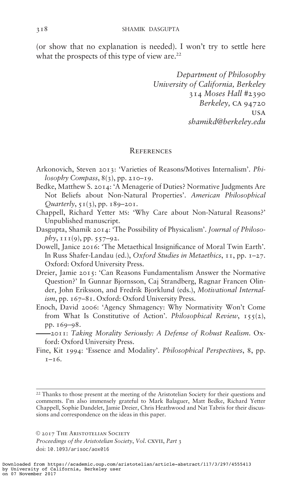<span id="page-21-0"></span>(or show that no explanation is needed). I won't try to settle here what the prospects of this type of view are.<sup>22</sup>

> Department of Philosophy University of California, Berkeley 314 Moses Hall #2390 Berkeley, ca 94720 usa shamikd@berkeley.edu

## **REFERENCES**

- Arkonovich, Steven 2013: 'Varieties of Reasons/Motives Internalism'. Phi $losophy Compass, 8(3), pp. 210–19.$
- Bedke, Matthew S. 2014: 'A Menagerie of Duties? Normative Judgments Are Not Beliefs about Non-Natural Properties'. American Philosophical  $Quarterly, 51(3), pp. 189-201.$
- Chappell, Richard Yetter MS: 'Why Care about Non-Natural Reasons?' Unpublished manuscript.
- Dasgupta, Shamik 2014: 'The Possibility of Physicalism'. Journal of Philoso $phy, \text{III}(9), pp. 557-92.$
- Dowell, Janice 2016: 'The Metaethical Insignificance of Moral Twin Earth'. In Russ Shafer-Landau (ed.), Oxford Studies in Metaethics, 11, pp. 1–27. Oxford: Oxford University Press.
- Dreier, Jamie 2015: 'Can Reasons Fundamentalism Answer the Normative Question?' In Gunnar Bjornsson, Caj Strandberg, Ragnar Francen Olinder, John Eriksson, and Fredrik Bjorklund (eds.), Motivational Internalism, pp. 167–81. Oxford: Oxford University Press.
- Enoch, David 2006: 'Agency Shmagency: Why Normativity Won't Come from What Is Constitutive of Action'. Philosophical Review,  $155(2)$ , pp. 169–98.
- 2011: Taking Morality Seriously: A Defense of Robust Realism. Oxford: Oxford University Press.
- Fine, Kit 1994: 'Essence and Modality'. Philosophical Perspectives, 8, pp.  $T-T6$ .

<sup>&</sup>lt;sup>22</sup> Thanks to those present at the meeting of the Aristotelian Society for their questions and comments. I'm also immensely grateful to Mark Balaguer, Matt Bedke, Richard Yetter Chappell, Sophie Dandelet, Jamie Dreier, Chris Heathwood and Nat Tabris for their discussions and correspondence on the ideas in this paper.